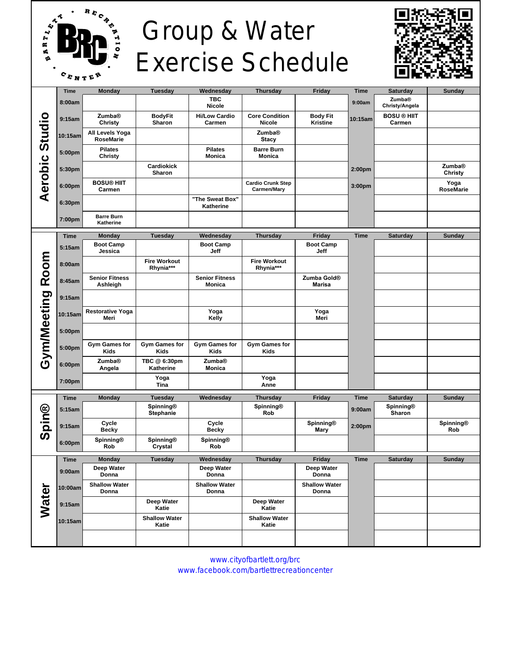

## Group & Water Exercise Schedule



|                     | <b>Time</b> | <b>Monday</b>                       | <b>Tuesday</b>                       | Wednesday                              | <b>Thursday</b>                         | Friday                                   | <b>Time</b>        | <b>Saturday</b>                 | <b>Sunday</b>            |
|---------------------|-------------|-------------------------------------|--------------------------------------|----------------------------------------|-----------------------------------------|------------------------------------------|--------------------|---------------------------------|--------------------------|
| Aerobic Studio      | 8:00am      |                                     |                                      | <b>TBC</b><br><b>Nicole</b>            |                                         |                                          | 9:00am             | <b>Zumba®</b><br>Christy/Angela |                          |
|                     | 9:15am      | <b>Zumba®</b><br>Christy            | <b>BodyFit</b><br>Sharon             | <b>Hi/Low Cardio</b><br>Carmen         | <b>Core Condition</b><br><b>Nicole</b>  | <b>Body Fit</b><br><b>Kristine</b>       | 10:15am            | <b>BOSU ® HIIT</b><br>Carmen    |                          |
|                     | 10:15am     | All Levels Yoga<br><b>RoseMarie</b> |                                      |                                        | <b>Zumba®</b><br><b>Stacy</b>           |                                          |                    |                                 |                          |
|                     | 5:00pm      | <b>Pilates</b><br>Christy           |                                      | <b>Pilates</b><br>Monica               | <b>Barre Burn</b><br><b>Monica</b>      |                                          |                    |                                 |                          |
|                     | 5:30pm      |                                     | <b>Cardiokick</b><br>Sharon          |                                        |                                         |                                          | 2:00 <sub>pm</sub> |                                 | <b>Zumba®</b><br>Christy |
|                     | 6:00pm      | <b>BOSU® HIIT</b><br>Carmen         |                                      |                                        | <b>Cardio Crunk Step</b><br>Carmen/Mary |                                          | 3:00 <sub>pm</sub> |                                 | Yoga<br><b>RoseMarie</b> |
|                     | 6:30pm      |                                     |                                      | "The Sweat Box"<br>Katherine           |                                         |                                          |                    |                                 |                          |
|                     | 7:00pm      | <b>Barre Burn</b><br>Katherine      |                                      |                                        |                                         |                                          |                    |                                 |                          |
| Room<br>Gym/Meeting | <b>Time</b> | <b>Monday</b>                       | <b>Tuesday</b>                       | Wednesday                              | <b>Thursday</b>                         | Friday                                   | <b>Time</b>        | <b>Saturday</b>                 | Sunday                   |
|                     | 5:15am      | <b>Boot Camp</b><br>Jessica         |                                      | <b>Boot Camp</b><br>Jeff               |                                         | <b>Boot Camp</b><br>Jeff                 |                    |                                 |                          |
|                     | 8:00am      |                                     | <b>Fire Workout</b><br>Rhynia***     |                                        | <b>Fire Workout</b><br>Rhynia***        |                                          |                    |                                 |                          |
|                     | 8:45am      | <b>Senior Fitness</b><br>Ashleigh   |                                      | <b>Senior Fitness</b><br><b>Monica</b> |                                         | Zumba Gold <sup>®</sup><br><b>Marisa</b> |                    |                                 |                          |
|                     | 9:15am      |                                     |                                      |                                        |                                         |                                          |                    |                                 |                          |
|                     | 10:15am     | <b>Restorative Yoga</b><br>Meri     |                                      | Yoga<br>Kelly                          |                                         | Yoga<br>Meri                             |                    |                                 |                          |
|                     | 5:00pm      |                                     |                                      |                                        |                                         |                                          |                    |                                 |                          |
|                     | 5:00pm      | Gym Games for<br><b>Kids</b>        | <b>Gym Games for</b><br><b>Kids</b>  | <b>Gym Games for</b><br><b>Kids</b>    | <b>Gym Games for</b><br>Kids            |                                          |                    |                                 |                          |
|                     | 6:00pm      | <b>Zumba®</b><br>Angela             | TBC @ 6:30pm<br>Katherine            | <b>Zumba®</b><br>Monica                |                                         |                                          |                    |                                 |                          |
|                     | 7:00pm      |                                     | Yoga<br>Tina                         |                                        | Yoga<br>Anne                            |                                          |                    |                                 |                          |
|                     | <b>Time</b> | <b>Monday</b>                       | <b>Tuesday</b>                       | Wednesday                              | <b>Thursday</b>                         | <b>Friday</b>                            | <b>Time</b>        | <b>Saturday</b>                 | Sunday                   |
| Spin®               | 5:15am      |                                     | <b>Spinning®</b><br><b>Stephanie</b> |                                        | Spinning®<br>Rob                        |                                          | 9:00am             | Spinning®<br>Sharon             |                          |
|                     | 9:15am      | Cycle<br><b>Becky</b>               |                                      | Cycle<br><b>Becky</b>                  |                                         | Spinning®<br>Mary                        | 2:00pm             |                                 | Spinning®<br>Rob         |
|                     | 6:00pm      | Spinning®<br>Rob                    | Spinning®<br>Crystal                 | <b>Spinning®</b><br>Rob                |                                         |                                          |                    |                                 |                          |
|                     | <b>Time</b> | <b>Monday</b>                       | <b>Tuesday</b>                       | Wednesday                              | <b>Thursday</b>                         | Friday                                   | <b>Time</b>        | Saturday                        | <b>Sunday</b>            |
| Water               | 9:00am      | Deep Water<br>Donna                 |                                      | Deep Water<br>Donna                    |                                         | Deep Water<br>Donna                      |                    |                                 |                          |
|                     | 10:00am     | <b>Shallow Water</b><br>Donna       |                                      | <b>Shallow Water</b><br>Donna          |                                         | <b>Shallow Water</b><br>Donna            |                    |                                 |                          |
|                     | 9:15am      |                                     | Deep Water<br>Katie                  |                                        | Deep Water<br>Katie                     |                                          |                    |                                 |                          |
|                     | 10:15am     |                                     | <b>Shallow Water</b><br>Katie        |                                        | <b>Shallow Water</b><br>Katie           |                                          |                    |                                 |                          |
|                     |             |                                     |                                      |                                        |                                         |                                          |                    |                                 |                          |

www.cityofbartlett.org/brc [ww](http://www.facebook.com/bartlettrecreationcenter)w.facebook.com/bartlettrecreationcenter